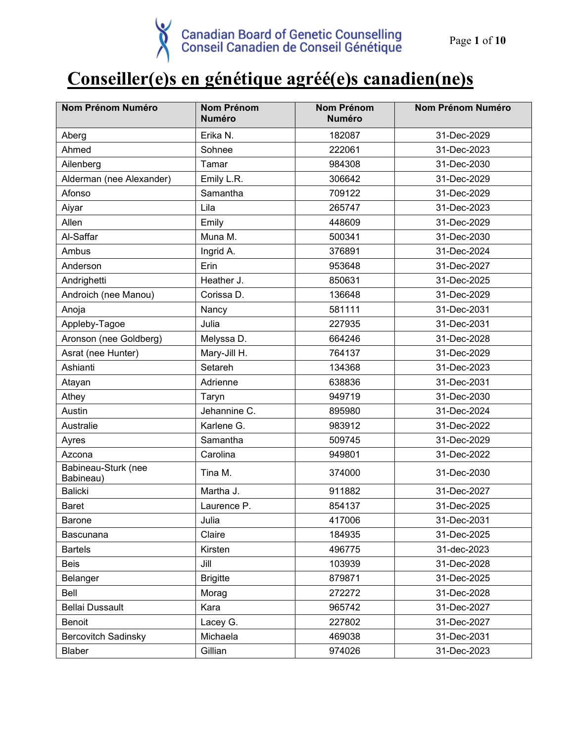# **Conseiller(e)s en génétique agréé(e)s canadien(ne)s**

| <b>Nom Prénom Numéro</b>         | <b>Nom Prénom</b><br><b>Numéro</b> | Nom Prénom<br><b>Numéro</b> | Nom Prénom Numéro |
|----------------------------------|------------------------------------|-----------------------------|-------------------|
| Aberg                            | Erika N.                           | 182087                      | 31-Dec-2029       |
| Ahmed                            | Sohnee                             | 222061                      | 31-Dec-2023       |
| Ailenberg                        | Tamar                              | 984308                      | 31-Dec-2030       |
| Alderman (nee Alexander)         | Emily L.R.                         | 306642                      | 31-Dec-2029       |
| Afonso                           | Samantha                           | 709122                      | 31-Dec-2029       |
| Aiyar                            | Lila                               | 265747                      | 31-Dec-2023       |
| Allen                            | Emily                              | 448609                      | 31-Dec-2029       |
| Al-Saffar                        | Muna M.                            | 500341                      | 31-Dec-2030       |
| Ambus                            | Ingrid A.                          | 376891                      | 31-Dec-2024       |
| Anderson                         | Erin                               | 953648                      | 31-Dec-2027       |
| Andrighetti                      | Heather J.                         | 850631                      | 31-Dec-2025       |
| Androich (nee Manou)             | Corissa D.                         | 136648                      | 31-Dec-2029       |
| Anoja                            | Nancy                              | 581111                      | 31-Dec-2031       |
| Appleby-Tagoe                    | Julia                              | 227935                      | 31-Dec-2031       |
| Aronson (nee Goldberg)           | Melyssa D.                         | 664246                      | 31-Dec-2028       |
| Asrat (nee Hunter)               | Mary-Jill H.                       | 764137                      | 31-Dec-2029       |
| Ashianti                         | Setareh                            | 134368                      | 31-Dec-2023       |
| Atayan                           | Adrienne                           | 638836                      | 31-Dec-2031       |
| Athey                            | Taryn                              | 949719                      | 31-Dec-2030       |
| Austin                           | Jehannine C.                       | 895980                      | 31-Dec-2024       |
| Australie                        | Karlene G.                         | 983912                      | 31-Dec-2022       |
| Ayres                            | Samantha                           | 509745                      | 31-Dec-2029       |
| Azcona                           | Carolina                           | 949801                      | 31-Dec-2022       |
| Babineau-Sturk (nee<br>Babineau) | Tina M.                            | 374000                      | 31-Dec-2030       |
| <b>Balicki</b>                   | Martha J.                          | 911882                      | 31-Dec-2027       |
| <b>Baret</b>                     | Laurence P.                        | 854137                      | 31-Dec-2025       |
| Barone                           | Julia                              | 417006                      | 31-Dec-2031       |
| <b>Bascunana</b>                 | Claire                             | 184935                      | 31-Dec-2025       |
| <b>Bartels</b>                   | Kirsten                            | 496775                      | 31-dec-2023       |
| <b>Beis</b>                      | Jill                               | 103939                      | 31-Dec-2028       |
| Belanger                         | <b>Brigitte</b>                    | 879871                      | 31-Dec-2025       |
| Bell                             | Morag                              | 272272                      | 31-Dec-2028       |
| <b>Bellai Dussault</b>           | Kara                               | 965742                      | 31-Dec-2027       |
| Benoit                           | Lacey G.                           | 227802                      | 31-Dec-2027       |
| <b>Bercovitch Sadinsky</b>       | Michaela                           | 469038                      | 31-Dec-2031       |
| Blaber                           | Gillian                            | 974026                      | 31-Dec-2023       |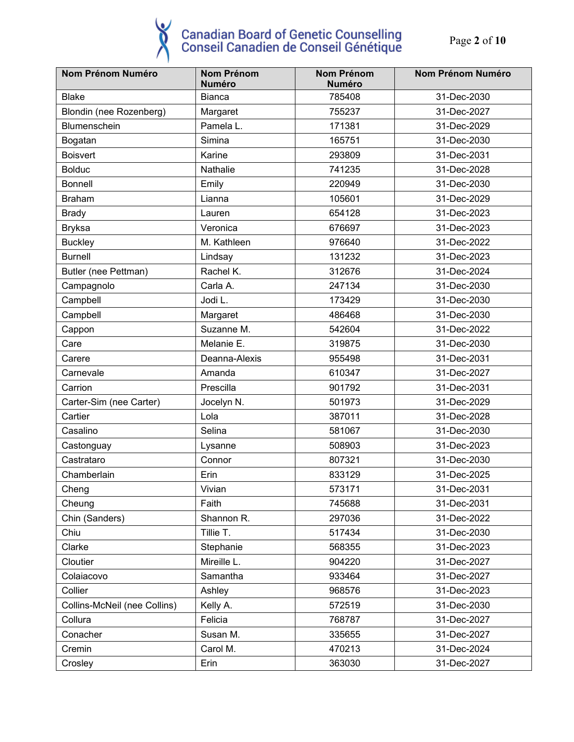Page **2** of **10** 

| Nom Prénom Numéro            | <b>Nom Prénom</b><br><b>Numéro</b> | <b>Nom Prénom</b><br><b>Numéro</b> | Nom Prénom Numéro |
|------------------------------|------------------------------------|------------------------------------|-------------------|
| <b>Blake</b>                 | <b>Bianca</b>                      | 785408                             | 31-Dec-2030       |
| Blondin (nee Rozenberg)      | Margaret                           | 755237                             | 31-Dec-2027       |
| Blumenschein                 | Pamela L.                          | 171381                             | 31-Dec-2029       |
| Bogatan                      | Simina                             | 165751                             | 31-Dec-2030       |
| <b>Boisvert</b>              | Karine                             | 293809                             | 31-Dec-2031       |
| <b>Bolduc</b>                | Nathalie                           | 741235                             | 31-Dec-2028       |
| <b>Bonnell</b>               | Emily                              | 220949                             | 31-Dec-2030       |
| <b>Braham</b>                | Lianna                             | 105601                             | 31-Dec-2029       |
| <b>Brady</b>                 | Lauren                             | 654128                             | 31-Dec-2023       |
| <b>Bryksa</b>                | Veronica                           | 676697                             | 31-Dec-2023       |
| <b>Buckley</b>               | M. Kathleen                        | 976640                             | 31-Dec-2022       |
| <b>Burnell</b>               | Lindsay                            | 131232                             | 31-Dec-2023       |
| Butler (nee Pettman)         | Rachel K.                          | 312676                             | 31-Dec-2024       |
| Campagnolo                   | Carla A.                           | 247134                             | 31-Dec-2030       |
| Campbell                     | Jodi L.                            | 173429                             | 31-Dec-2030       |
| Campbell                     | Margaret                           | 486468                             | 31-Dec-2030       |
| Cappon                       | Suzanne M.                         | 542604                             | 31-Dec-2022       |
| Care                         | Melanie E.                         | 319875                             | 31-Dec-2030       |
| Carere                       | Deanna-Alexis                      | 955498                             | 31-Dec-2031       |
| Carnevale                    | Amanda                             | 610347                             | 31-Dec-2027       |
| Carrion                      | Prescilla                          | 901792                             | 31-Dec-2031       |
| Carter-Sim (nee Carter)      | Jocelyn N.                         | 501973                             | 31-Dec-2029       |
| Cartier                      | Lola                               | 387011                             | 31-Dec-2028       |
| Casalino                     | Selina                             | 581067                             | 31-Dec-2030       |
| Castonguay                   | Lysanne                            | 508903                             | 31-Dec-2023       |
| Castrataro                   | Connor                             | 807321                             | 31-Dec-2030       |
| Chamberlain                  | Erin                               | 833129                             | 31-Dec-2025       |
| Cheng                        | Vivian                             | 573171                             | 31-Dec-2031       |
| Cheung                       | Faith                              | 745688                             | 31-Dec-2031       |
| Chin (Sanders)               | Shannon R.                         | 297036                             | 31-Dec-2022       |
| Chiu                         | Tillie T.                          | 517434                             | 31-Dec-2030       |
| Clarke                       | Stephanie                          | 568355                             | 31-Dec-2023       |
| Cloutier                     | Mireille L.                        | 904220                             | 31-Dec-2027       |
| Colaiacovo                   | Samantha                           | 933464                             | 31-Dec-2027       |
| Collier                      | Ashley                             | 968576                             | 31-Dec-2023       |
| Collins-McNeil (nee Collins) | Kelly A.                           | 572519                             | 31-Dec-2030       |
| Collura                      | Felicia                            | 768787                             | 31-Dec-2027       |
| Conacher                     | Susan M.                           | 335655                             | 31-Dec-2027       |
| Cremin                       | Carol M.                           | 470213                             | 31-Dec-2024       |
| Crosley                      | Erin                               | 363030                             | 31-Dec-2027       |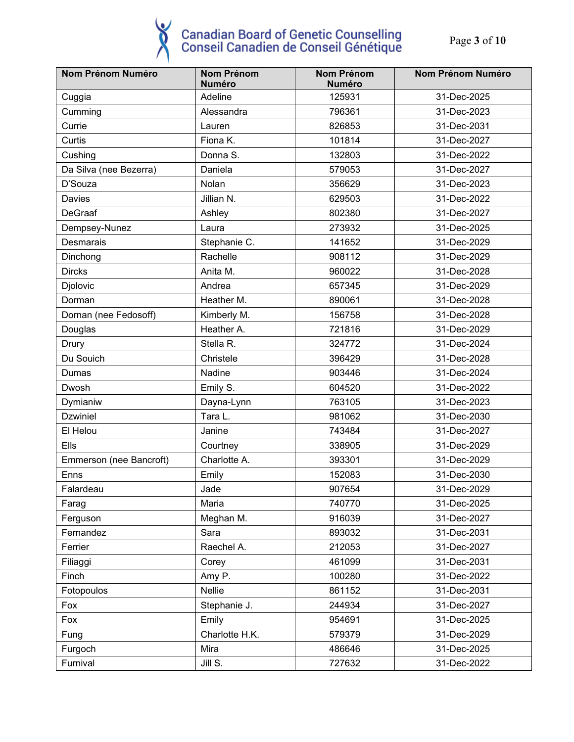Page **3** of **10**

| <b>Nom Prénom Numéro</b> | <b>Nom Prénom</b><br><b>Numéro</b> | <b>Nom Prénom</b><br><b>Numéro</b> | <b>Nom Prénom Numéro</b> |
|--------------------------|------------------------------------|------------------------------------|--------------------------|
| Cuggia                   | Adeline                            | 125931                             | 31-Dec-2025              |
|                          | Alessandra                         | 796361                             | 31-Dec-2023              |
| Cumming                  |                                    |                                    |                          |
| Currie                   | Lauren                             | 826853                             | 31-Dec-2031              |
| Curtis                   | Fiona K.                           | 101814                             | 31-Dec-2027              |
| Cushing                  | Donna S.                           | 132803                             | 31-Dec-2022              |
| Da Silva (nee Bezerra)   | Daniela                            | 579053                             | 31-Dec-2027              |
| D'Souza                  | Nolan                              | 356629                             | 31-Dec-2023              |
| Davies                   | Jillian N.                         | 629503                             | 31-Dec-2022              |
| <b>DeGraaf</b>           | Ashley                             | 802380                             | 31-Dec-2027              |
| Dempsey-Nunez            | Laura                              | 273932                             | 31-Dec-2025              |
| Desmarais                | Stephanie C.                       | 141652                             | 31-Dec-2029              |
| Dinchong                 | Rachelle                           | 908112                             | 31-Dec-2029              |
| <b>Dircks</b>            | Anita M.                           | 960022                             | 31-Dec-2028              |
| Djolovic                 | Andrea                             | 657345                             | 31-Dec-2029              |
| Dorman                   | Heather M.                         | 890061                             | 31-Dec-2028              |
| Dornan (nee Fedosoff)    | Kimberly M.                        | 156758                             | 31-Dec-2028              |
| Douglas                  | Heather A.                         | 721816                             | 31-Dec-2029              |
| Drury                    | Stella R.                          | 324772                             | 31-Dec-2024              |
| Du Souich                | Christele                          | 396429                             | 31-Dec-2028              |
| Dumas                    | Nadine                             | 903446                             | 31-Dec-2024              |
| Dwosh                    | Emily S.                           | 604520                             | 31-Dec-2022              |
| Dymianiw                 | Dayna-Lynn                         | 763105                             | 31-Dec-2023              |
| <b>Dzwiniel</b>          | Tara L.                            | 981062                             | 31-Dec-2030              |
| El Helou                 | Janine                             | 743484                             | 31-Dec-2027              |
| Ells                     | Courtney                           | 338905                             | 31-Dec-2029              |
| Emmerson (nee Bancroft)  | Charlotte A.                       | 393301                             | 31-Dec-2029              |
| Enns                     | Emily                              | 152083                             | 31-Dec-2030              |
| Falardeau                | Jade                               | 907654                             | 31-Dec-2029              |
| Farag                    | Maria                              | 740770                             | 31-Dec-2025              |
| Ferguson                 | Meghan M.                          | 916039                             | 31-Dec-2027              |
| Fernandez                | Sara                               | 893032                             | 31-Dec-2031              |
| Ferrier                  | Raechel A.                         | 212053                             | 31-Dec-2027              |
| Filiaggi                 | Corey                              | 461099                             | 31-Dec-2031              |
| Finch                    | Amy P.                             | 100280                             | 31-Dec-2022              |
| Fotopoulos               | Nellie                             | 861152                             | 31-Dec-2031              |
| Fox                      | Stephanie J.                       | 244934                             | 31-Dec-2027              |
| Fox                      | Emily                              | 954691                             | 31-Dec-2025              |
| Fung                     | Charlotte H.K.                     | 579379                             | 31-Dec-2029              |
| Furgoch                  | Mira                               | 486646                             | 31-Dec-2025              |
| Furnival                 | Jill S.                            | 727632                             | 31-Dec-2022              |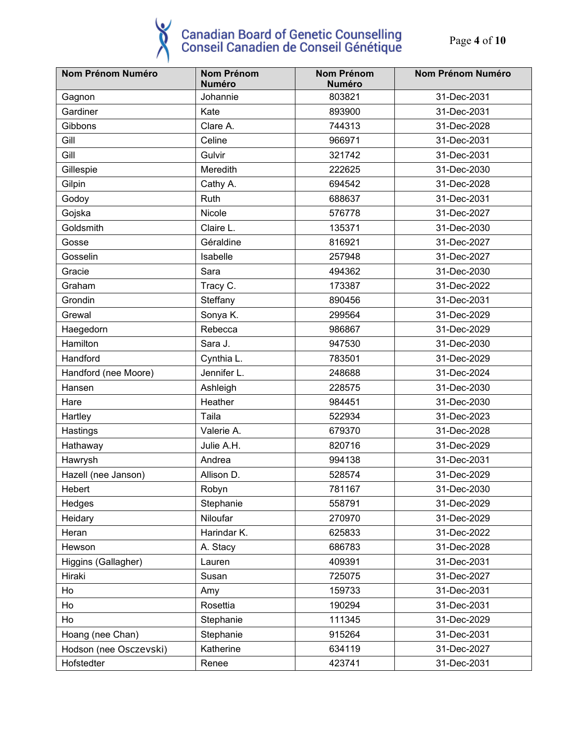#### $\breve{\mathbf{v}}$ **Canadian Board of Genetic Counselling<br>Conseil Canadien de Conseil Génétique**

Page **4** of **10**

| <b>Nom Prénom Numéro</b> | <b>Nom Prénom</b><br><b>Numéro</b> | Nom Prénom<br><b>Numéro</b> | Nom Prénom Numéro |
|--------------------------|------------------------------------|-----------------------------|-------------------|
| Gagnon                   | Johannie                           | 803821                      | 31-Dec-2031       |
| Gardiner                 | Kate                               | 893900                      | 31-Dec-2031       |
| Gibbons                  | Clare A.                           | 744313                      | 31-Dec-2028       |
| Gill                     | Celine                             | 966971                      | 31-Dec-2031       |
| Gill                     | Gulvir                             | 321742                      | 31-Dec-2031       |
| Gillespie                | Meredith                           | 222625                      | 31-Dec-2030       |
| Gilpin                   | Cathy A.                           | 694542                      | 31-Dec-2028       |
| Godoy                    | Ruth                               | 688637                      | 31-Dec-2031       |
| Gojska                   | Nicole                             | 576778                      | 31-Dec-2027       |
| Goldsmith                | Claire L.                          | 135371                      | 31-Dec-2030       |
| Gosse                    | Géraldine                          | 816921                      | 31-Dec-2027       |
| Gosselin                 | Isabelle                           | 257948                      | 31-Dec-2027       |
| Gracie                   | Sara                               | 494362                      | 31-Dec-2030       |
| Graham                   | Tracy C.                           | 173387                      | 31-Dec-2022       |
| Grondin                  | Steffany                           | 890456                      | 31-Dec-2031       |
| Grewal                   | Sonya K.                           | 299564                      | 31-Dec-2029       |
| Haegedorn                | Rebecca                            | 986867                      | 31-Dec-2029       |
| Hamilton                 | Sara J.                            | 947530                      | 31-Dec-2030       |
| Handford                 | Cynthia L.                         | 783501                      | 31-Dec-2029       |
| Handford (nee Moore)     | Jennifer L.                        | 248688                      | 31-Dec-2024       |
| Hansen                   | Ashleigh                           | 228575                      | 31-Dec-2030       |
| Hare                     | Heather                            | 984451                      | 31-Dec-2030       |
| Hartley                  | Taila                              | 522934                      | 31-Dec-2023       |
| Hastings                 | Valerie A.                         | 679370                      | 31-Dec-2028       |
| Hathaway                 | Julie A.H.                         | 820716                      | 31-Dec-2029       |
| Hawrysh                  | Andrea                             | 994138                      | 31-Dec-2031       |
| Hazell (nee Janson)      | Allison D.                         | 528574                      | 31-Dec-2029       |
| Hebert                   | Robyn                              | 781167                      | 31-Dec-2030       |
| Hedges                   | Stephanie                          | 558791                      | 31-Dec-2029       |
| Heidary                  | Niloufar                           | 270970                      | 31-Dec-2029       |
| Heran                    | Harindar K.                        | 625833                      | 31-Dec-2022       |
| Hewson                   | A. Stacy                           | 686783                      | 31-Dec-2028       |
| Higgins (Gallagher)      | Lauren                             | 409391                      | 31-Dec-2031       |
| Hiraki                   | Susan                              | 725075                      | 31-Dec-2027       |
| Ho                       | Amy                                | 159733                      | 31-Dec-2031       |
| Ho                       | Rosettia                           | 190294                      | 31-Dec-2031       |
| Ho                       | Stephanie                          | 111345                      | 31-Dec-2029       |
| Hoang (nee Chan)         | Stephanie                          | 915264                      | 31-Dec-2031       |
| Hodson (nee Osczevski)   | Katherine                          | 634119                      | 31-Dec-2027       |
| Hofstedter               | Renee                              | 423741                      | 31-Dec-2031       |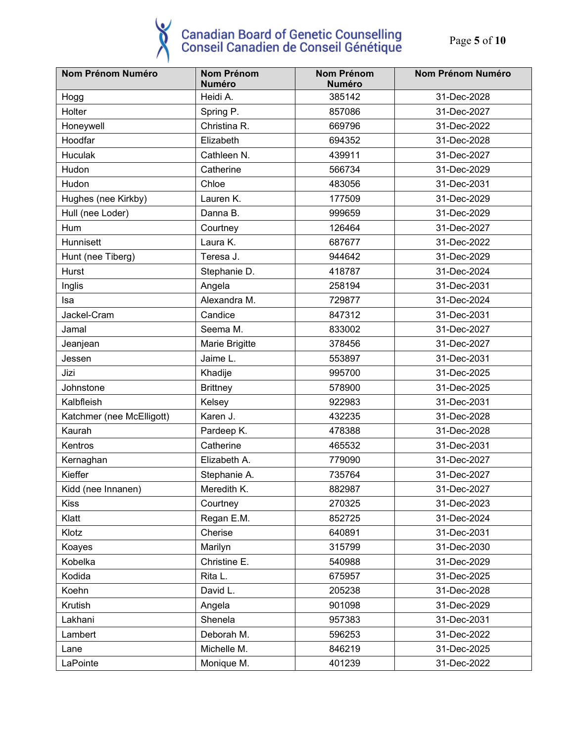Page **5** of **10**

| <b>Nom Prénom Numéro</b>  | <b>Nom Prénom</b><br><b>Numéro</b> | Nom Prénom<br><b>Numéro</b> | Nom Prénom Numéro |
|---------------------------|------------------------------------|-----------------------------|-------------------|
| Hogg                      | Heidi A.                           | 385142                      | 31-Dec-2028       |
| Holter                    | Spring P.                          | 857086                      | 31-Dec-2027       |
| Honeywell                 | Christina R.                       | 669796                      | 31-Dec-2022       |
| Hoodfar                   | Elizabeth                          | 694352                      | 31-Dec-2028       |
| <b>Huculak</b>            | Cathleen N.                        | 439911                      | 31-Dec-2027       |
| Hudon                     | Catherine                          | 566734                      | 31-Dec-2029       |
| Hudon                     | Chloe                              | 483056                      | 31-Dec-2031       |
|                           | Lauren K.                          | 177509                      | 31-Dec-2029       |
| Hughes (nee Kirkby)       | Danna B.                           | 999659                      | 31-Dec-2029       |
| Hull (nee Loder)          |                                    |                             |                   |
| Hum                       | Courtney                           | 126464                      | 31-Dec-2027       |
| Hunnisett                 | Laura K.                           | 687677                      | 31-Dec-2022       |
| Hunt (nee Tiberg)         | Teresa J.                          | 944642                      | 31-Dec-2029       |
| Hurst                     | Stephanie D.                       | 418787                      | 31-Dec-2024       |
| Inglis                    | Angela                             | 258194                      | 31-Dec-2031       |
| Isa                       | Alexandra M.                       | 729877                      | 31-Dec-2024       |
| Jackel-Cram               | Candice                            | 847312                      | 31-Dec-2031       |
| Jamal                     | Seema M.                           | 833002                      | 31-Dec-2027       |
| Jeanjean                  | Marie Brigitte                     | 378456                      | 31-Dec-2027       |
| Jessen                    | Jaime L.                           | 553897                      | 31-Dec-2031       |
| Jizi                      | Khadije                            | 995700                      | 31-Dec-2025       |
| Johnstone                 | <b>Brittney</b>                    | 578900                      | 31-Dec-2025       |
| Kalbfleish                | Kelsey                             | 922983                      | 31-Dec-2031       |
| Katchmer (nee McElligott) | Karen J.                           | 432235                      | 31-Dec-2028       |
| Kaurah                    | Pardeep K.                         | 478388                      | 31-Dec-2028       |
| Kentros                   | Catherine                          | 465532                      | 31-Dec-2031       |
| Kernaghan                 | Elizabeth A.                       | 779090                      | 31-Dec-2027       |
| Kieffer                   | Stephanie A.                       | 735764                      | 31-Dec-2027       |
| Kidd (nee Innanen)        | Meredith K.                        | 882987                      | 31-Dec-2027       |
| <b>Kiss</b>               | Courtney                           | 270325                      | 31-Dec-2023       |
| Klatt                     | Regan E.M.                         | 852725                      | 31-Dec-2024       |
| Klotz                     | Cherise                            | 640891                      | 31-Dec-2031       |
| Koayes                    | Marilyn                            | 315799                      | 31-Dec-2030       |
| Kobelka                   | Christine E.                       | 540988                      | 31-Dec-2029       |
| Kodida                    | Rita L.                            | 675957                      | 31-Dec-2025       |
| Koehn                     | David L.                           | 205238                      | 31-Dec-2028       |
| Krutish                   | Angela                             | 901098                      | 31-Dec-2029       |
| Lakhani                   | Shenela                            | 957383                      | 31-Dec-2031       |
| Lambert                   | Deborah M.                         | 596253                      | 31-Dec-2022       |
| Lane                      | Michelle M.                        | 846219                      | 31-Dec-2025       |
| LaPointe                  | Monique M.                         | 401239                      | 31-Dec-2022       |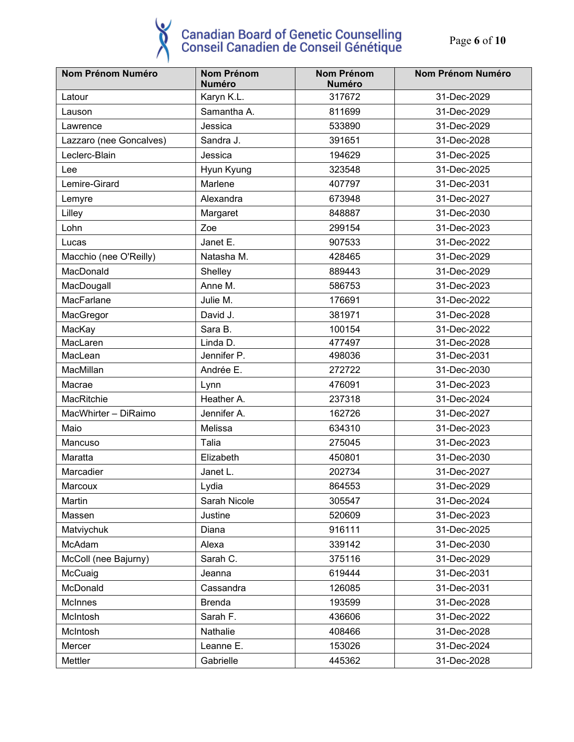Page **6** of **10**

| Nom Prénom Numéro       | <b>Nom Prénom</b><br><b>Numéro</b> | <b>Nom Prénom</b><br><b>Numéro</b> | <b>Nom Prénom Numéro</b> |
|-------------------------|------------------------------------|------------------------------------|--------------------------|
| Latour                  | Karyn K.L.                         | 317672                             | 31-Dec-2029              |
| Lauson                  | Samantha A.                        | 811699                             | 31-Dec-2029              |
| Lawrence                | Jessica                            | 533890                             | 31-Dec-2029              |
| Lazzaro (nee Goncalves) | Sandra J.                          | 391651                             | 31-Dec-2028              |
| Leclerc-Blain           | Jessica                            | 194629                             | 31-Dec-2025              |
| Lee                     | Hyun Kyung                         | 323548                             | 31-Dec-2025              |
| Lemire-Girard           | Marlene                            | 407797                             | 31-Dec-2031              |
| Lemyre                  | Alexandra                          | 673948                             | 31-Dec-2027              |
| Lilley                  | Margaret                           | 848887                             | 31-Dec-2030              |
| Lohn                    | Zoe                                | 299154                             | 31-Dec-2023              |
| Lucas                   | Janet E.                           | 907533                             | 31-Dec-2022              |
| Macchio (nee O'Reilly)  | Natasha M.                         | 428465                             | 31-Dec-2029              |
| MacDonald               | Shelley                            | 889443                             | 31-Dec-2029              |
| MacDougall              | Anne M.                            | 586753                             | 31-Dec-2023              |
| MacFarlane              | Julie M.                           | 176691                             | 31-Dec-2022              |
| MacGregor               | David J.                           | 381971                             | 31-Dec-2028              |
| MacKay                  | Sara B.                            | 100154                             | 31-Dec-2022              |
| MacLaren                | Linda D.                           | 477497                             | 31-Dec-2028              |
| MacLean                 | Jennifer P.                        | 498036                             | 31-Dec-2031              |
| MacMillan               | Andrée E.                          | 272722                             | 31-Dec-2030              |
| Macrae                  | Lynn                               | 476091                             | 31-Dec-2023              |
| MacRitchie              | Heather A.                         | 237318                             | 31-Dec-2024              |
| MacWhirter - DiRaimo    | Jennifer A.                        | 162726                             | 31-Dec-2027              |
| Maio                    | Melissa                            | 634310                             | 31-Dec-2023              |
| Mancuso                 | Talia                              | 275045                             | 31-Dec-2023              |
| Maratta                 | Elizabeth                          | 450801                             | 31-Dec-2030              |
| Marcadier               | Janet L.                           | 202734                             | 31-Dec-2027              |
| Marcoux                 | Lydia                              | 864553                             | 31-Dec-2029              |
| Martin                  | Sarah Nicole                       | 305547                             | 31-Dec-2024              |
| Massen                  | Justine                            | 520609                             | 31-Dec-2023              |
| Matviychuk              | Diana                              | 916111                             | 31-Dec-2025              |
| McAdam                  | Alexa                              | 339142                             | 31-Dec-2030              |
| McColl (nee Bajurny)    | Sarah C.                           | 375116                             | 31-Dec-2029              |
| McCuaig                 | Jeanna                             | 619444                             | 31-Dec-2031              |
| McDonald                | Cassandra                          | 126085                             | 31-Dec-2031              |
| McInnes                 | <b>Brenda</b>                      | 193599                             | 31-Dec-2028              |
| McIntosh                | Sarah F.                           | 436606                             | 31-Dec-2022              |
| McIntosh                | Nathalie                           | 408466                             | 31-Dec-2028              |
| Mercer                  | Leanne E.                          | 153026                             | 31-Dec-2024              |
| Mettler                 | Gabrielle                          | 445362                             | 31-Dec-2028              |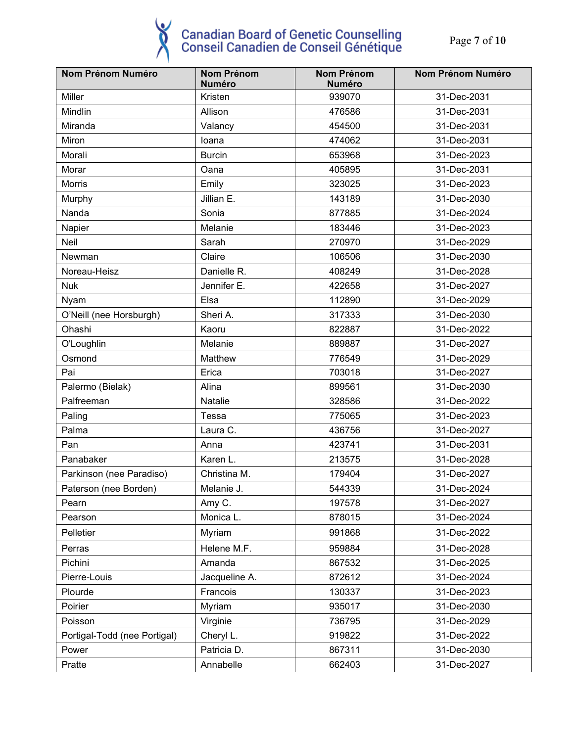| Nom Prénom Numéro            | <b>Nom Prénom</b><br><b>Numéro</b> | Nom Prénom<br><b>Numéro</b> | Nom Prénom Numéro |
|------------------------------|------------------------------------|-----------------------------|-------------------|
| Miller                       | Kristen                            | 939070                      | 31-Dec-2031       |
| Mindlin                      | Allison                            | 476586                      | 31-Dec-2031       |
| Miranda                      | Valancy                            | 454500                      | 31-Dec-2031       |
| Miron                        | loana                              | 474062                      | 31-Dec-2031       |
| Morali                       | <b>Burcin</b>                      | 653968                      | 31-Dec-2023       |
| Morar                        | Oana                               | 405895                      | 31-Dec-2031       |
| <b>Morris</b>                | Emily                              | 323025                      | 31-Dec-2023       |
| Murphy                       | Jillian E.                         | 143189                      | 31-Dec-2030       |
| Nanda                        | Sonia                              | 877885                      | 31-Dec-2024       |
| Napier                       | Melanie                            | 183446                      | 31-Dec-2023       |
| Neil                         | Sarah                              | 270970                      | 31-Dec-2029       |
| Newman                       | Claire                             | 106506                      | 31-Dec-2030       |
| Noreau-Heisz                 | Danielle R.                        | 408249                      | 31-Dec-2028       |
| <b>Nuk</b>                   | Jennifer E.                        | 422658                      | 31-Dec-2027       |
| Nyam                         | Elsa                               | 112890                      | 31-Dec-2029       |
| O'Neill (nee Horsburgh)      | Sheri A.                           | 317333                      | 31-Dec-2030       |
| Ohashi                       | Kaoru                              | 822887                      | 31-Dec-2022       |
| O'Loughlin                   | Melanie                            | 889887                      | 31-Dec-2027       |
| Osmond                       | Matthew                            | 776549                      | 31-Dec-2029       |
| Pai                          | Erica                              | 703018                      | 31-Dec-2027       |
| Palermo (Bielak)             | Alina                              | 899561                      | 31-Dec-2030       |
| Palfreeman                   | Natalie                            | 328586                      | 31-Dec-2022       |
| Paling                       | Tessa                              | 775065                      | 31-Dec-2023       |
| Palma                        | Laura C.                           | 436756                      | 31-Dec-2027       |
| Pan                          | Anna                               | 423741                      | 31-Dec-2031       |
| Panabaker                    | Karen L.                           | 213575                      | 31-Dec-2028       |
| Parkinson (nee Paradiso)     | Christina M.                       | 179404                      | 31-Dec-2027       |
| Paterson (nee Borden)        | Melanie J.                         | 544339                      | 31-Dec-2024       |
| Pearn                        | Amy C.                             | 197578                      | 31-Dec-2027       |
| Pearson                      | Monica L.                          | 878015                      | 31-Dec-2024       |
| Pelletier                    | Myriam                             | 991868                      | 31-Dec-2022       |
| Perras                       | Helene M.F.                        | 959884                      | 31-Dec-2028       |
| Pichini                      | Amanda                             | 867532                      | 31-Dec-2025       |
| Pierre-Louis                 | Jacqueline A.                      | 872612                      | 31-Dec-2024       |
| Plourde                      | Francois                           | 130337                      | 31-Dec-2023       |
| Poirier                      | Myriam                             | 935017                      | 31-Dec-2030       |
| Poisson                      | Virginie                           | 736795                      | 31-Dec-2029       |
| Portigal-Todd (nee Portigal) | Cheryl L.                          | 919822                      | 31-Dec-2022       |
| Power                        | Patricia D.                        | 867311                      | 31-Dec-2030       |
| Pratte                       | Annabelle                          | 662403                      | 31-Dec-2027       |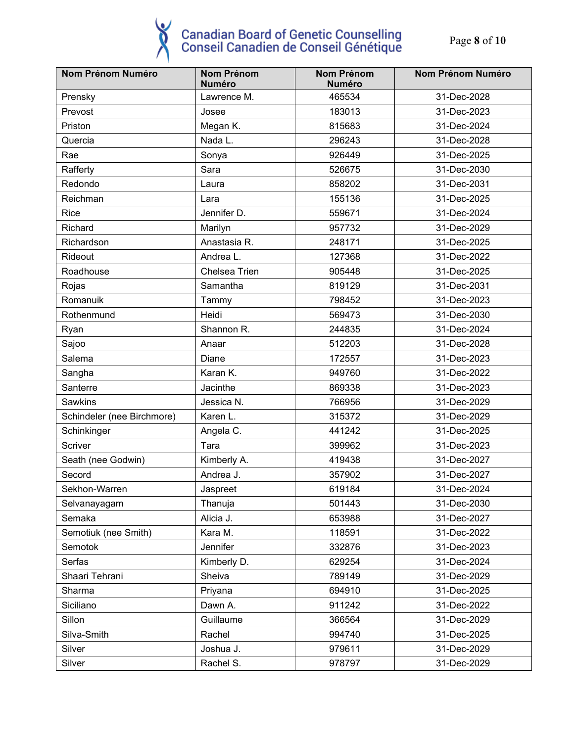Page **8** of **10**

| <b>Nom Prénom Numéro</b>   | <b>Nom Prénom</b><br><b>Numéro</b> | <b>Nom Prénom</b><br><b>Numéro</b> | <b>Nom Prénom Numéro</b> |
|----------------------------|------------------------------------|------------------------------------|--------------------------|
| Prensky                    | Lawrence M.                        | 465534                             | 31-Dec-2028              |
| Prevost                    | Josee                              | 183013                             | 31-Dec-2023              |
| Priston                    | Megan K.                           | 815683                             | 31-Dec-2024              |
| Quercia                    | Nada L.                            | 296243                             | 31-Dec-2028              |
| Rae                        | Sonya                              | 926449                             | 31-Dec-2025              |
| Rafferty                   | Sara                               | 526675                             | 31-Dec-2030              |
| Redondo                    | Laura                              | 858202                             | 31-Dec-2031              |
| Reichman                   | Lara                               | 155136                             | 31-Dec-2025              |
| Rice                       | Jennifer D.                        | 559671                             | 31-Dec-2024              |
| Richard                    | Marilyn                            | 957732                             | 31-Dec-2029              |
| Richardson                 | Anastasia R.                       | 248171                             | 31-Dec-2025              |
| Rideout                    | Andrea L.                          | 127368                             | 31-Dec-2022              |
| Roadhouse                  | Chelsea Trien                      | 905448                             | 31-Dec-2025              |
| Rojas                      | Samantha                           | 819129                             | 31-Dec-2031              |
| Romanuik                   | Tammy                              | 798452                             | 31-Dec-2023              |
| Rothenmund                 | Heidi                              | 569473                             | 31-Dec-2030              |
| Ryan                       | Shannon R.                         | 244835                             | 31-Dec-2024              |
| Sajoo                      | Anaar                              | 512203                             | 31-Dec-2028              |
| Salema                     | Diane                              | 172557                             | 31-Dec-2023              |
| Sangha                     | Karan K.                           | 949760                             | 31-Dec-2022              |
| Santerre                   | Jacinthe                           | 869338                             | 31-Dec-2023              |
| Sawkins                    | Jessica N.                         | 766956                             | 31-Dec-2029              |
| Schindeler (nee Birchmore) | Karen L.                           | 315372                             | 31-Dec-2029              |
| Schinkinger                | Angela C.                          | 441242                             | 31-Dec-2025              |
| Scriver                    | Tara                               | 399962                             | 31-Dec-2023              |
| Seath (nee Godwin)         | Kimberly A.                        | 419438                             | 31-Dec-2027              |
| Secord                     | Andrea J.                          | 357902                             | 31-Dec-2027              |
| Sekhon-Warren              | Jaspreet                           | 619184                             | 31-Dec-2024              |
| Selvanayagam               | Thanuja                            | 501443                             | 31-Dec-2030              |
| Semaka                     | Alicia J.                          | 653988                             | 31-Dec-2027              |
| Semotiuk (nee Smith)       | Kara M.                            | 118591                             | 31-Dec-2022              |
| Semotok                    | Jennifer                           | 332876                             | 31-Dec-2023              |
| Serfas                     | Kimberly D.                        | 629254                             | 31-Dec-2024              |
| Shaari Tehrani             | Sheiva                             | 789149                             | 31-Dec-2029              |
| Sharma                     | Priyana                            | 694910                             | 31-Dec-2025              |
| Siciliano                  | Dawn A.                            | 911242                             | 31-Dec-2022              |
| Sillon                     | Guillaume                          | 366564                             | 31-Dec-2029              |
| Silva-Smith                | Rachel                             | 994740                             | 31-Dec-2025              |
| Silver                     | Joshua J.                          | 979611                             | 31-Dec-2029              |
| Silver                     | Rachel S.                          | 978797                             | 31-Dec-2029              |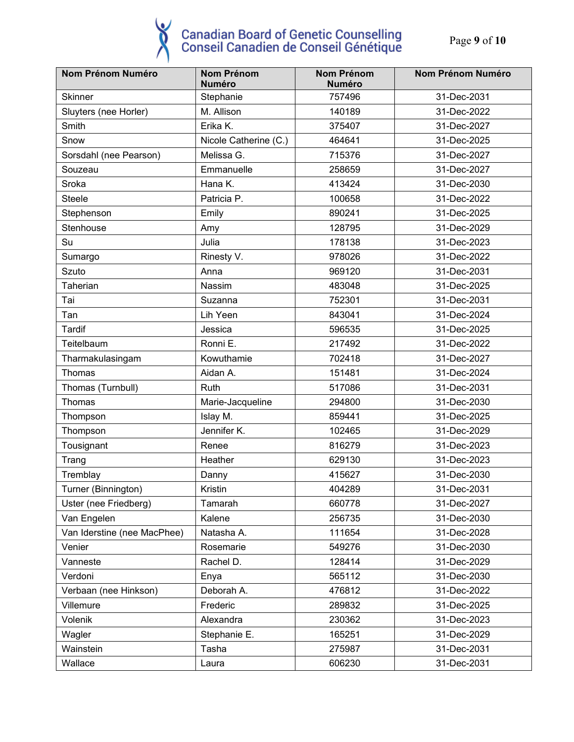Page **9** of **10**

| Nom Prénom Numéro           | <b>Nom Prénom</b><br><b>Numéro</b> | <b>Nom Prénom</b><br><b>Numéro</b> | <b>Nom Prénom Numéro</b> |
|-----------------------------|------------------------------------|------------------------------------|--------------------------|
| <b>Skinner</b>              | Stephanie                          | 757496                             | 31-Dec-2031              |
| Sluyters (nee Horler)       | M. Allison                         | 140189                             | 31-Dec-2022              |
| Smith                       | Erika K.                           | 375407                             | 31-Dec-2027              |
| Snow                        | Nicole Catherine (C.)              | 464641                             | 31-Dec-2025              |
| Sorsdahl (nee Pearson)      | Melissa G.                         | 715376                             | 31-Dec-2027              |
| Souzeau                     | Emmanuelle                         | 258659                             | 31-Dec-2027              |
| Sroka                       | Hana K.                            | 413424                             | 31-Dec-2030              |
| <b>Steele</b>               | Patricia P.                        | 100658                             | 31-Dec-2022              |
| Stephenson                  | Emily                              | 890241                             | 31-Dec-2025              |
| Stenhouse                   | Amy                                | 128795                             | 31-Dec-2029              |
| Su                          | Julia                              | 178138                             | 31-Dec-2023              |
| Sumargo                     | Rinesty V.                         | 978026                             | 31-Dec-2022              |
| Szuto                       | Anna                               | 969120                             | 31-Dec-2031              |
| Taherian                    | Nassim                             | 483048                             | 31-Dec-2025              |
| Tai                         | Suzanna                            | 752301                             | 31-Dec-2031              |
| Tan                         | Lih Yeen                           | 843041                             | 31-Dec-2024              |
| Tardif                      | Jessica                            | 596535                             | 31-Dec-2025              |
| Teitelbaum                  | Ronni E.                           | 217492                             | 31-Dec-2022              |
| Tharmakulasingam            | Kowuthamie                         | 702418                             | 31-Dec-2027              |
| Thomas                      | Aidan A.                           | 151481                             | 31-Dec-2024              |
| Thomas (Turnbull)           | Ruth                               | 517086                             | 31-Dec-2031              |
| Thomas                      | Marie-Jacqueline                   | 294800                             | 31-Dec-2030              |
| Thompson                    | Islay M.                           | 859441                             | 31-Dec-2025              |
| Thompson                    | Jennifer K.                        | 102465                             | 31-Dec-2029              |
| Tousignant                  | Renee                              | 816279                             | 31-Dec-2023              |
| Trang                       | Heather                            | 629130                             | 31-Dec-2023              |
| Tremblay                    | Danny                              | 415627                             | 31-Dec-2030              |
| Turner (Binnington)         | Kristin                            | 404289                             | 31-Dec-2031              |
| Uster (nee Friedberg)       | Tamarah                            | 660778                             | 31-Dec-2027              |
| Van Engelen                 | Kalene                             | 256735                             | 31-Dec-2030              |
| Van Iderstine (nee MacPhee) | Natasha A.                         | 111654                             | 31-Dec-2028              |
| Venier                      | Rosemarie                          | 549276                             | 31-Dec-2030              |
| Vanneste                    | Rachel D.                          | 128414                             | 31-Dec-2029              |
| Verdoni                     | Enya                               | 565112                             | 31-Dec-2030              |
| Verbaan (nee Hinkson)       | Deborah A.                         | 476812                             | 31-Dec-2022              |
| Villemure                   | Frederic                           | 289832                             | 31-Dec-2025              |
| Volenik                     | Alexandra                          | 230362                             | 31-Dec-2023              |
| Wagler                      | Stephanie E.                       | 165251                             | 31-Dec-2029              |
| Wainstein                   | Tasha                              | 275987                             | 31-Dec-2031              |
| Wallace                     | Laura                              | 606230                             | 31-Dec-2031              |